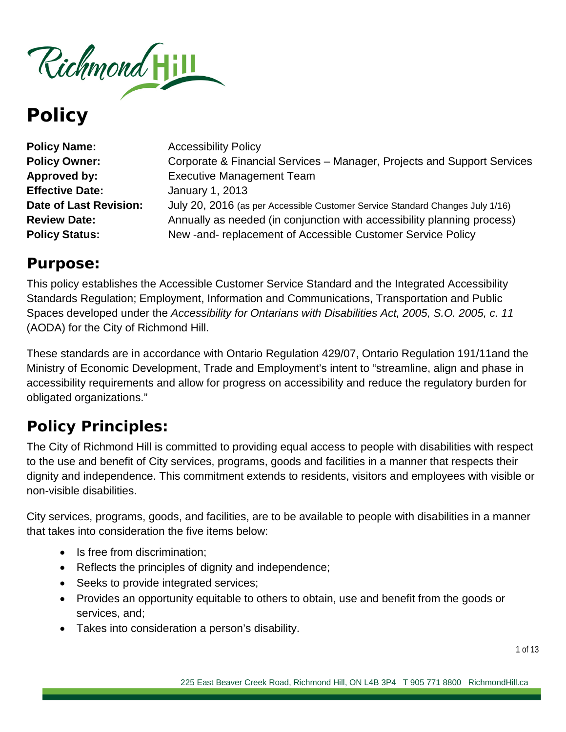

| <b>Policy Name:</b>    | <b>Accessibility Policy</b>                                                   |
|------------------------|-------------------------------------------------------------------------------|
| <b>Policy Owner:</b>   | Corporate & Financial Services – Manager, Projects and Support Services       |
| Approved by:           | <b>Executive Management Team</b>                                              |
| <b>Effective Date:</b> | January 1, 2013                                                               |
| Date of Last Revision: | July 20, 2016 (as per Accessible Customer Service Standard Changes July 1/16) |
| <b>Review Date:</b>    | Annually as needed (in conjunction with accessibility planning process)       |
| <b>Policy Status:</b>  | New - and - replacement of Accessible Customer Service Policy                 |

# **Purpose:**

This policy establishes the Accessible Customer Service Standard and the Integrated Accessibility Standards Regulation; Employment, Information and Communications, Transportation and Public Spaces developed under the *Accessibility for Ontarians with Disabilities Act, 2005, S.O. 2005, c. 11* (AODA) for the City of Richmond Hill.

These standards are in accordance with Ontario Regulation 429/07, Ontario Regulation 191/11and the Ministry of Economic Development, Trade and Employment's intent to "streamline, align and phase in accessibility requirements and allow for progress on accessibility and reduce the regulatory burden for obligated organizations."

# **Policy Principles:**

The City of Richmond Hill is committed to providing equal access to people with disabilities with respect to the use and benefit of City services, programs, goods and facilities in a manner that respects their dignity and independence. This commitment extends to residents, visitors and employees with visible or non-visible disabilities.

City services, programs, goods, and facilities, are to be available to people with disabilities in a manner that takes into consideration the five items below:

- Is free from discrimination:
- Reflects the principles of dignity and independence;
- Seeks to provide integrated services;
- Provides an opportunity equitable to others to obtain, use and benefit from the goods or services, and;
- Takes into consideration a person's disability.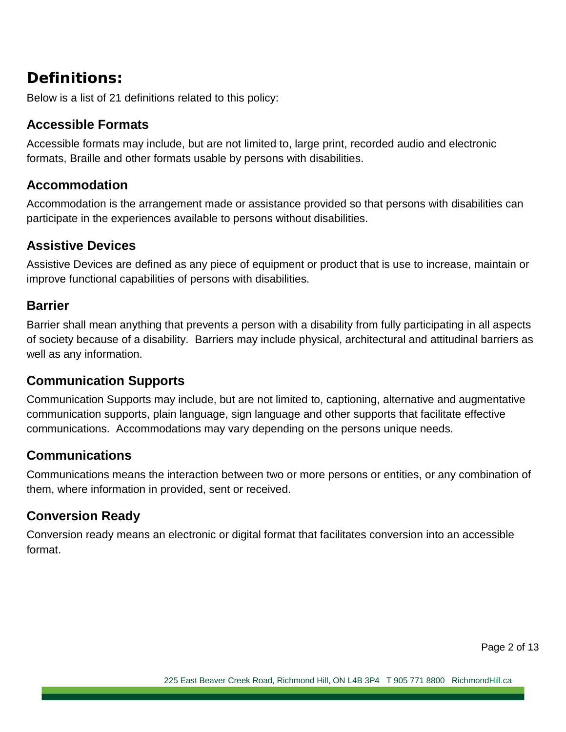# **Definitions:**

Below is a list of 21 definitions related to this policy:

#### **Accessible Formats**

Accessible formats may include, but are not limited to, large print, recorded audio and electronic formats, Braille and other formats usable by persons with disabilities.

#### **Accommodation**

Accommodation is the arrangement made or assistance provided so that persons with disabilities can participate in the experiences available to persons without disabilities.

#### **Assistive Devices**

Assistive Devices are defined as any piece of equipment or product that is use to increase, maintain or improve functional capabilities of persons with disabilities.

#### **Barrier**

Barrier shall mean anything that prevents a person with a disability from fully participating in all aspects of society because of a disability. Barriers may include physical, architectural and attitudinal barriers as well as any information.

# **Communication Supports**

Communication Supports may include, but are not limited to, captioning, alternative and augmentative communication supports, plain language, sign language and other supports that facilitate effective communications. Accommodations may vary depending on the persons unique needs.

# **Communications**

Communications means the interaction between two or more persons or entities, or any combination of them, where information in provided, sent or received.

# **Conversion Ready**

Conversion ready means an electronic or digital format that facilitates conversion into an accessible format.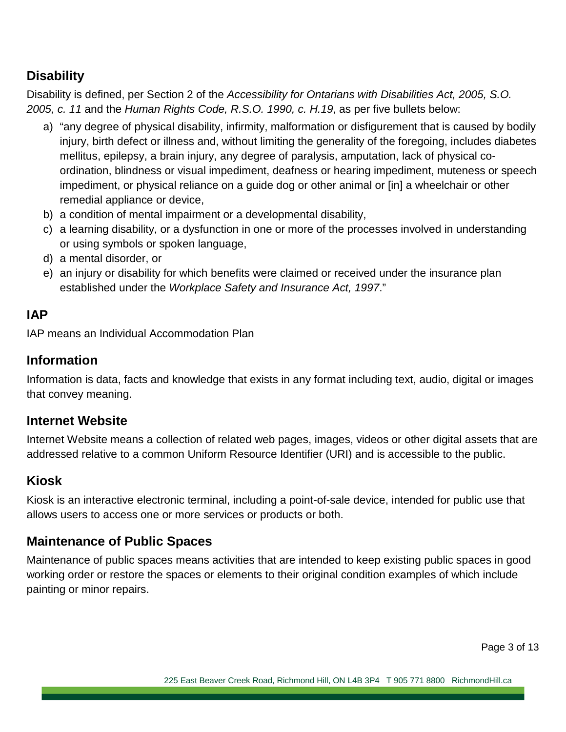# **Disability**

Disability is defined, per Section 2 of the *Accessibility for Ontarians with Disabilities Act, 2005, S.O. 2005, c. 11* and the *Human Rights Code, R.S.O. 1990, c. H.19*, as per five bullets below:

- a) "any degree of physical disability, infirmity, malformation or disfigurement that is caused by bodily injury, birth defect or illness and, without limiting the generality of the foregoing, includes diabetes mellitus, epilepsy, a brain injury, any degree of paralysis, amputation, lack of physical coordination, blindness or visual impediment, deafness or hearing impediment, muteness or speech impediment, or physical reliance on a guide dog or other animal or [in] a wheelchair or other remedial appliance or device,
- b) a condition of mental impairment or a developmental disability,
- c) a learning disability, or a dysfunction in one or more of the processes involved in understanding or using symbols or spoken language,
- d) a mental disorder, or
- e) an injury or disability for which benefits were claimed or received under the insurance plan established under the *Workplace Safety and Insurance Act, 1997*."

# **IAP**

IAP means an Individual Accommodation Plan

### **Information**

Information is data, facts and knowledge that exists in any format including text, audio, digital or images that convey meaning.

# **Internet Website**

Internet Website means a collection of related web pages, images, videos or other digital assets that are addressed relative to a common Uniform Resource Identifier (URI) and is accessible to the public.

# **Kiosk**

Kiosk is an interactive electronic terminal, including a point-of-sale device, intended for public use that allows users to access one or more services or products or both.

# **Maintenance of Public Spaces**

Maintenance of public spaces means activities that are intended to keep existing public spaces in good working order or restore the spaces or elements to their original condition examples of which include painting or minor repairs.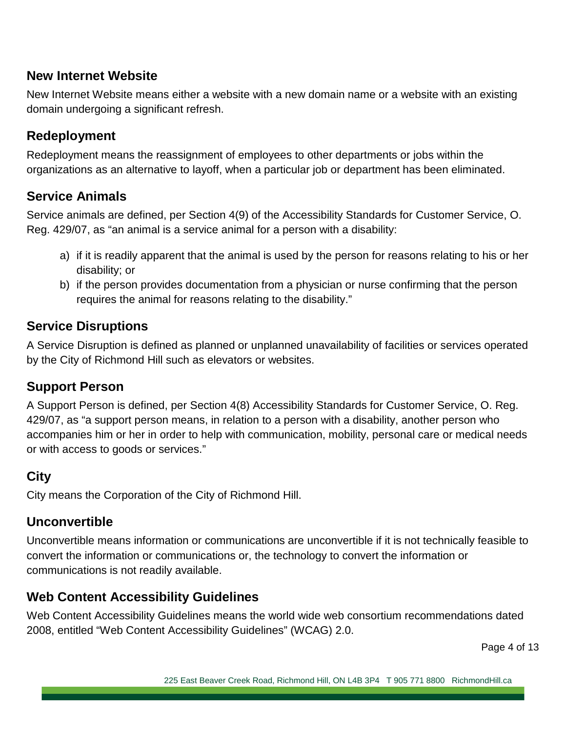# **New Internet Website**

New Internet Website means either a website with a new domain name or a website with an existing domain undergoing a significant refresh.

# **Redeployment**

Redeployment means the reassignment of employees to other departments or jobs within the organizations as an alternative to layoff, when a particular job or department has been eliminated.

#### **Service Animals**

Service animals are defined, per Section 4(9) of the Accessibility Standards for Customer Service, O. Reg. 429/07, as "an animal is a service animal for a person with a disability:

- a) if it is readily apparent that the animal is used by the person for reasons relating to his or her disability; or
- b) if the person provides documentation from a physician or nurse confirming that the person requires the animal for reasons relating to the disability."

#### **Service Disruptions**

A Service Disruption is defined as planned or unplanned unavailability of facilities or services operated by the City of Richmond Hill such as elevators or websites.

#### **Support Person**

A Support Person is defined, per Section 4(8) Accessibility Standards for Customer Service, O. Reg. 429/07, as "a support person means, in relation to a person with a disability, another person who accompanies him or her in order to help with communication, mobility, personal care or medical needs or with access to goods or services."

# **City**

City means the Corporation of the City of Richmond Hill.

#### **Unconvertible**

Unconvertible means information or communications are unconvertible if it is not technically feasible to convert the information or communications or, the technology to convert the information or communications is not readily available.

#### **Web Content Accessibility Guidelines**

Web Content Accessibility Guidelines means the world wide web consortium recommendations dated 2008, entitled "Web Content Accessibility Guidelines" (WCAG) 2.0.

Page 4 of 13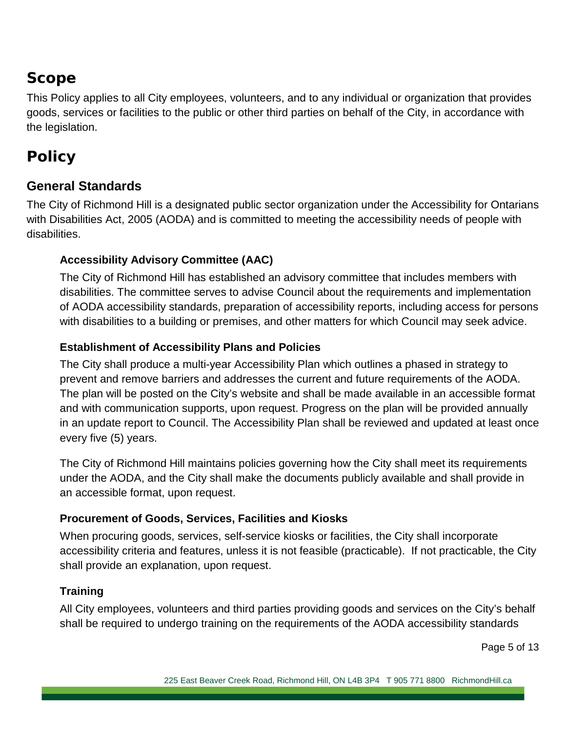# **Scope**

This Policy applies to all City employees, volunteers, and to any individual or organization that provides goods, services or facilities to the public or other third parties on behalf of the City, in accordance with the legislation.

# **Policy**

# **General Standards**

The City of Richmond Hill is a designated public sector organization under the Accessibility for Ontarians with Disabilities Act, 2005 (AODA) and is committed to meeting the accessibility needs of people with disabilities.

#### **Accessibility Advisory Committee (AAC)**

The City of Richmond Hill has established an advisory committee that includes members with disabilities. The committee serves to advise Council about the requirements and implementation of AODA accessibility standards, preparation of accessibility reports, including access for persons with disabilities to a building or premises, and other matters for which Council may seek advice.

#### **Establishment of Accessibility Plans and Policies**

The City shall produce a multi-year Accessibility Plan which outlines a phased in strategy to prevent and remove barriers and addresses the current and future requirements of the AODA. The plan will be posted on the City's website and shall be made available in an accessible format and with communication supports, upon request. Progress on the plan will be provided annually in an update report to Council. The Accessibility Plan shall be reviewed and updated at least once every five (5) years.

The City of Richmond Hill maintains policies governing how the City shall meet its requirements under the AODA, and the City shall make the documents publicly available and shall provide in an accessible format, upon request.

#### **Procurement of Goods, Services, Facilities and Kiosks**

When procuring goods, services, self-service kiosks or facilities, the City shall incorporate accessibility criteria and features, unless it is not feasible (practicable). If not practicable, the City shall provide an explanation, upon request.

# **Training**

All City employees, volunteers and third parties providing goods and services on the City's behalf shall be required to undergo training on the requirements of the AODA accessibility standards

Page 5 of 13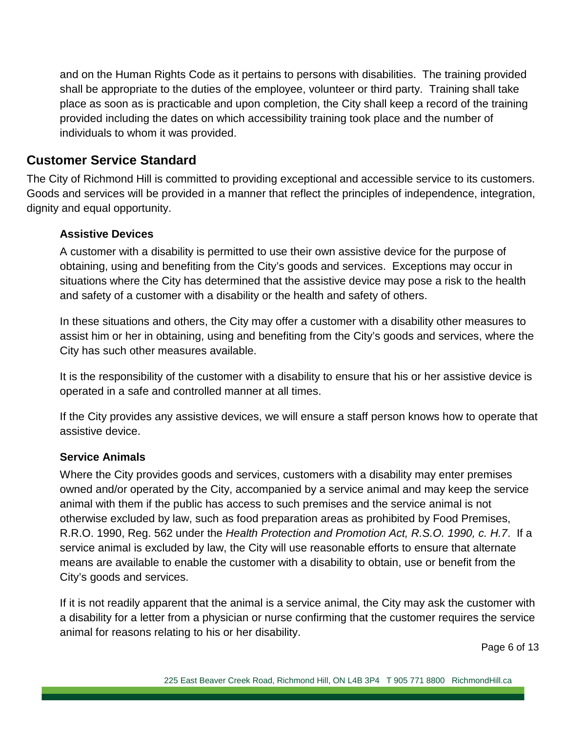and on the Human Rights Code as it pertains to persons with disabilities. The training provided shall be appropriate to the duties of the employee, volunteer or third party. Training shall take place as soon as is practicable and upon completion, the City shall keep a record of the training provided including the dates on which accessibility training took place and the number of individuals to whom it was provided.

#### **Customer Service Standard**

The City of Richmond Hill is committed to providing exceptional and accessible service to its customers. Goods and services will be provided in a manner that reflect the principles of independence, integration, dignity and equal opportunity.

#### **Assistive Devices**

A customer with a disability is permitted to use their own assistive device for the purpose of obtaining, using and benefiting from the City's goods and services. Exceptions may occur in situations where the City has determined that the assistive device may pose a risk to the health and safety of a customer with a disability or the health and safety of others.

In these situations and others, the City may offer a customer with a disability other measures to assist him or her in obtaining, using and benefiting from the City's goods and services, where the City has such other measures available.

It is the responsibility of the customer with a disability to ensure that his or her assistive device is operated in a safe and controlled manner at all times.

If the City provides any assistive devices, we will ensure a staff person knows how to operate that assistive device.

#### **Service Animals**

Where the City provides goods and services, customers with a disability may enter premises owned and/or operated by the City, accompanied by a service animal and may keep the service animal with them if the public has access to such premises and the service animal is not otherwise excluded by law, such as food preparation areas as prohibited by Food Premises, R.R.O. 1990, Reg. 562 under the *Health Protection and Promotion Act, R.S.O. 1990, c. H.7*. If a service animal is excluded by law, the City will use reasonable efforts to ensure that alternate means are available to enable the customer with a disability to obtain, use or benefit from the City's goods and services.

If it is not readily apparent that the animal is a service animal, the City may ask the customer with a disability for a letter from a physician or nurse confirming that the customer requires the service animal for reasons relating to his or her disability.

Page 6 of 13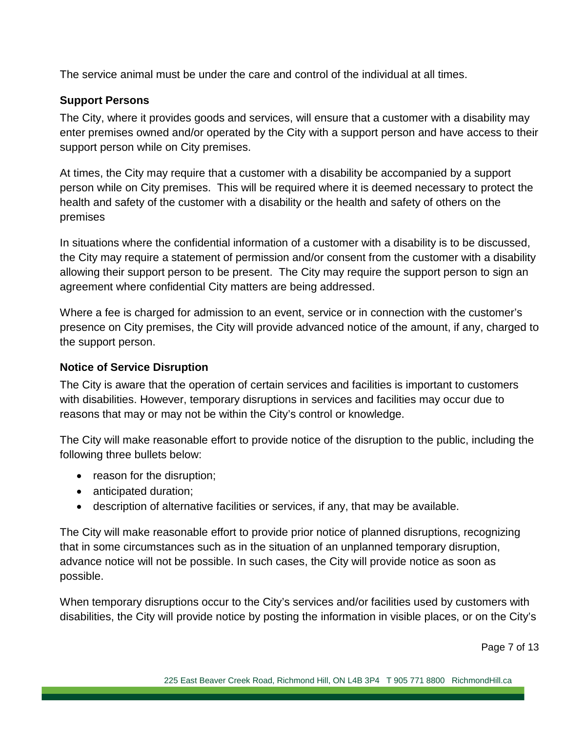The service animal must be under the care and control of the individual at all times.

#### **Support Persons**

The City, where it provides goods and services, will ensure that a customer with a disability may enter premises owned and/or operated by the City with a support person and have access to their support person while on City premises.

At times, the City may require that a customer with a disability be accompanied by a support person while on City premises. This will be required where it is deemed necessary to protect the health and safety of the customer with a disability or the health and safety of others on the premises

In situations where the confidential information of a customer with a disability is to be discussed, the City may require a statement of permission and/or consent from the customer with a disability allowing their support person to be present. The City may require the support person to sign an agreement where confidential City matters are being addressed.

Where a fee is charged for admission to an event, service or in connection with the customer's presence on City premises, the City will provide advanced notice of the amount, if any, charged to the support person.

#### **Notice of Service Disruption**

The City is aware that the operation of certain services and facilities is important to customers with disabilities. However, temporary disruptions in services and facilities may occur due to reasons that may or may not be within the City's control or knowledge.

The City will make reasonable effort to provide notice of the disruption to the public, including the following three bullets below:

- reason for the disruption;
- anticipated duration;
- description of alternative facilities or services, if any, that may be available.

The City will make reasonable effort to provide prior notice of planned disruptions, recognizing that in some circumstances such as in the situation of an unplanned temporary disruption, advance notice will not be possible. In such cases, the City will provide notice as soon as possible.

When temporary disruptions occur to the City's services and/or facilities used by customers with disabilities, the City will provide notice by posting the information in visible places, or on the City's

Page 7 of 13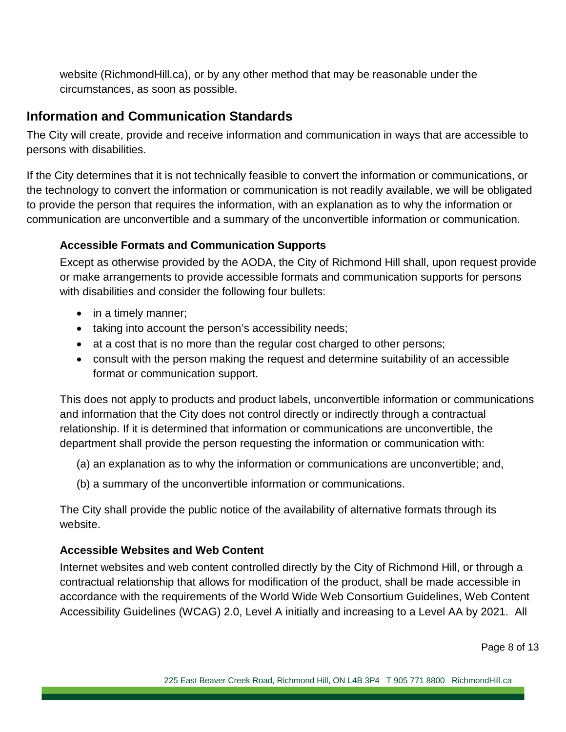website (RichmondHill.ca), or by any other method that may be reasonable under the circumstances, as soon as possible.

#### **Information and Communication Standards**

The City will create, provide and receive information and communication in ways that are accessible to persons with disabilities.

If the City determines that it is not technically feasible to convert the information or communications, or the technology to convert the information or communication is not readily available, we will be obligated to provide the person that requires the information, with an explanation as to why the information or communication are unconvertible and a summary of the unconvertible information or communication.

#### **Accessible Formats and Communication Supports**

Except as otherwise provided by the AODA, the City of Richmond Hill shall, upon request provide or make arrangements to provide accessible formats and communication supports for persons with disabilities and consider the following four bullets:

- in a timely manner;
- taking into account the person's accessibility needs;
- at a cost that is no more than the regular cost charged to other persons;
- consult with the person making the request and determine suitability of an accessible format or communication support.

This does not apply to products and product labels, unconvertible information or communications and information that the City does not control directly or indirectly through a contractual relationship. If it is determined that information or communications are unconvertible, the department shall provide the person requesting the information or communication with:

- (a) an explanation as to why the information or communications are unconvertible; and,
- (b) a summary of the unconvertible information or communications.

The City shall provide the public notice of the availability of alternative formats through its website.

#### **Accessible Websites and Web Content**

Internet websites and web content controlled directly by the City of Richmond Hill, or through a contractual relationship that allows for modification of the product, shall be made accessible in accordance with the requirements of the World Wide Web Consortium Guidelines, Web Content Accessibility Guidelines (WCAG) 2.0, Level A initially and increasing to a Level AA by 2021. All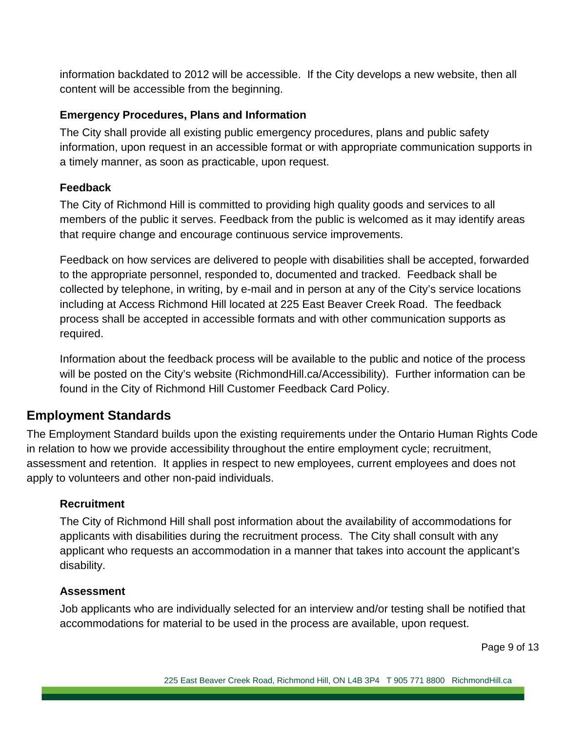information backdated to 2012 will be accessible. If the City develops a new website, then all content will be accessible from the beginning.

#### **Emergency Procedures, Plans and Information**

The City shall provide all existing public emergency procedures, plans and public safety information, upon request in an accessible format or with appropriate communication supports in a timely manner, as soon as practicable, upon request.

#### **Feedback**

The City of Richmond Hill is committed to providing high quality goods and services to all members of the public it serves. Feedback from the public is welcomed as it may identify areas that require change and encourage continuous service improvements.

Feedback on how services are delivered to people with disabilities shall be accepted, forwarded to the appropriate personnel, responded to, documented and tracked. Feedback shall be collected by telephone, in writing, by e-mail and in person at any of the City's service locations including at Access Richmond Hill located at 225 East Beaver Creek Road. The feedback process shall be accepted in accessible formats and with other communication supports as required.

Information about the feedback process will be available to the public and notice of the process will be posted on the City's website (RichmondHill.ca/Accessibility). Further information can be found in the City of Richmond Hill Customer Feedback Card Policy.

# **Employment Standards**

The Employment Standard builds upon the existing requirements under the Ontario Human Rights Code in relation to how we provide accessibility throughout the entire employment cycle; recruitment, assessment and retention. It applies in respect to new employees, current employees and does not apply to volunteers and other non-paid individuals.

#### **Recruitment**

The City of Richmond Hill shall post information about the availability of accommodations for applicants with disabilities during the recruitment process. The City shall consult with any applicant who requests an accommodation in a manner that takes into account the applicant's disability.

#### **Assessment**

Job applicants who are individually selected for an interview and/or testing shall be notified that accommodations for material to be used in the process are available, upon request.

Page 9 of 13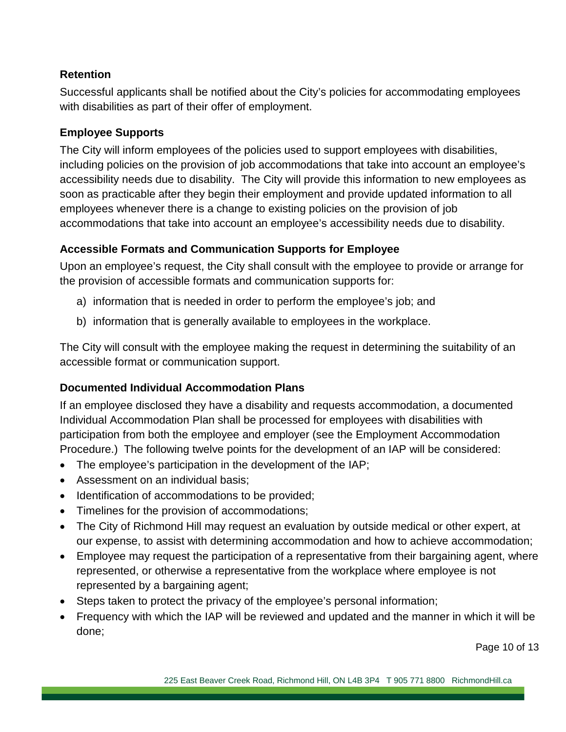#### **Retention**

Successful applicants shall be notified about the City's policies for accommodating employees with disabilities as part of their offer of employment.

#### **Employee Supports**

The City will inform employees of the policies used to support employees with disabilities, including policies on the provision of job accommodations that take into account an employee's accessibility needs due to disability. The City will provide this information to new employees as soon as practicable after they begin their employment and provide updated information to all employees whenever there is a change to existing policies on the provision of job accommodations that take into account an employee's accessibility needs due to disability.

#### **Accessible Formats and Communication Supports for Employee**

Upon an employee's request, the City shall consult with the employee to provide or arrange for the provision of accessible formats and communication supports for:

- a) information that is needed in order to perform the employee's job; and
- b) information that is generally available to employees in the workplace.

The City will consult with the employee making the request in determining the suitability of an accessible format or communication support.

#### **Documented Individual Accommodation Plans**

If an employee disclosed they have a disability and requests accommodation, a documented Individual Accommodation Plan shall be processed for employees with disabilities with participation from both the employee and employer (see the Employment Accommodation Procedure.) The following twelve points for the development of an IAP will be considered:

- The employee's participation in the development of the IAP;
- Assessment on an individual basis:
- Identification of accommodations to be provided;
- Timelines for the provision of accommodations;
- The City of Richmond Hill may request an evaluation by outside medical or other expert, at our expense, to assist with determining accommodation and how to achieve accommodation;
- Employee may request the participation of a representative from their bargaining agent, where represented, or otherwise a representative from the workplace where employee is not represented by a bargaining agent;
- Steps taken to protect the privacy of the employee's personal information;
- Frequency with which the IAP will be reviewed and updated and the manner in which it will be done;

Page 10 of 13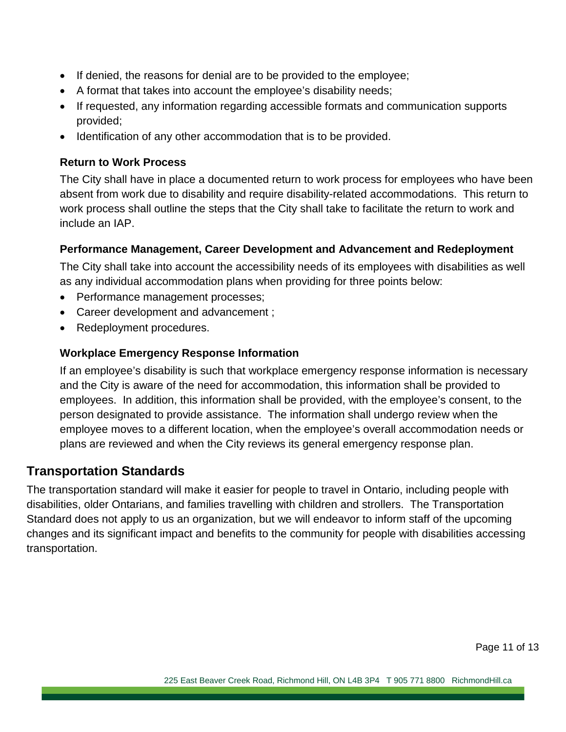- If denied, the reasons for denial are to be provided to the employee;
- A format that takes into account the employee's disability needs;
- If requested, any information regarding accessible formats and communication supports provided;
- Identification of any other accommodation that is to be provided.

#### **Return to Work Process**

The City shall have in place a documented return to work process for employees who have been absent from work due to disability and require disability-related accommodations. This return to work process shall outline the steps that the City shall take to facilitate the return to work and include an IAP.

#### **Performance Management, Career Development and Advancement and Redeployment**

The City shall take into account the accessibility needs of its employees with disabilities as well as any individual accommodation plans when providing for three points below:

- Performance management processes;
- Career development and advancement ;
- Redeployment procedures.

#### **Workplace Emergency Response Information**

If an employee's disability is such that workplace emergency response information is necessary and the City is aware of the need for accommodation, this information shall be provided to employees. In addition, this information shall be provided, with the employee's consent, to the person designated to provide assistance. The information shall undergo review when the employee moves to a different location, when the employee's overall accommodation needs or plans are reviewed and when the City reviews its general emergency response plan.

#### **Transportation Standards**

The transportation standard will make it easier for people to travel in Ontario, including people with disabilities, older Ontarians, and families travelling with children and strollers. The Transportation Standard does not apply to us an organization, but we will endeavor to inform staff of the upcoming changes and its significant impact and benefits to the community for people with disabilities accessing transportation.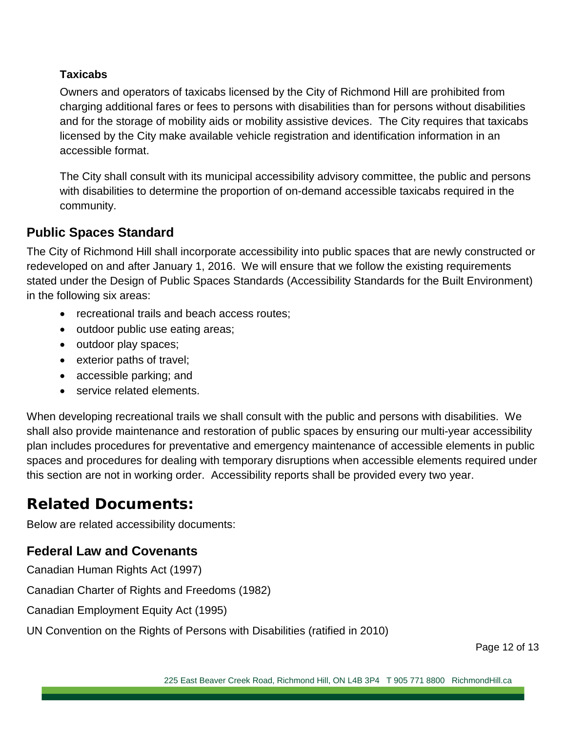#### **Taxicabs**

Owners and operators of taxicabs licensed by the City of Richmond Hill are prohibited from charging additional fares or fees to persons with disabilities than for persons without disabilities and for the storage of mobility aids or mobility assistive devices. The City requires that taxicabs licensed by the City make available vehicle registration and identification information in an accessible format.

The City shall consult with its municipal accessibility advisory committee, the public and persons with disabilities to determine the proportion of on-demand accessible taxicabs required in the community.

# **Public Spaces Standard**

The City of Richmond Hill shall incorporate accessibility into public spaces that are newly constructed or redeveloped on and after January 1, 2016. We will ensure that we follow the existing requirements stated under the Design of Public Spaces Standards (Accessibility Standards for the Built Environment) in the following six areas:

- recreational trails and beach access routes:
- outdoor public use eating areas;
- outdoor play spaces;
- exterior paths of travel;
- accessible parking; and
- service related elements.

When developing recreational trails we shall consult with the public and persons with disabilities. We shall also provide maintenance and restoration of public spaces by ensuring our multi-year accessibility plan includes procedures for preventative and emergency maintenance of accessible elements in public spaces and procedures for dealing with temporary disruptions when accessible elements required under this section are not in working order. Accessibility reports shall be provided every two year.

# **Related Documents:**

Below are related accessibility documents:

# **Federal Law and Covenants**

Canadian Human Rights Act (1997)

Canadian Charter of Rights and Freedoms (1982)

Canadian Employment Equity Act (1995)

UN Convention on the Rights of Persons with Disabilities (ratified in 2010)